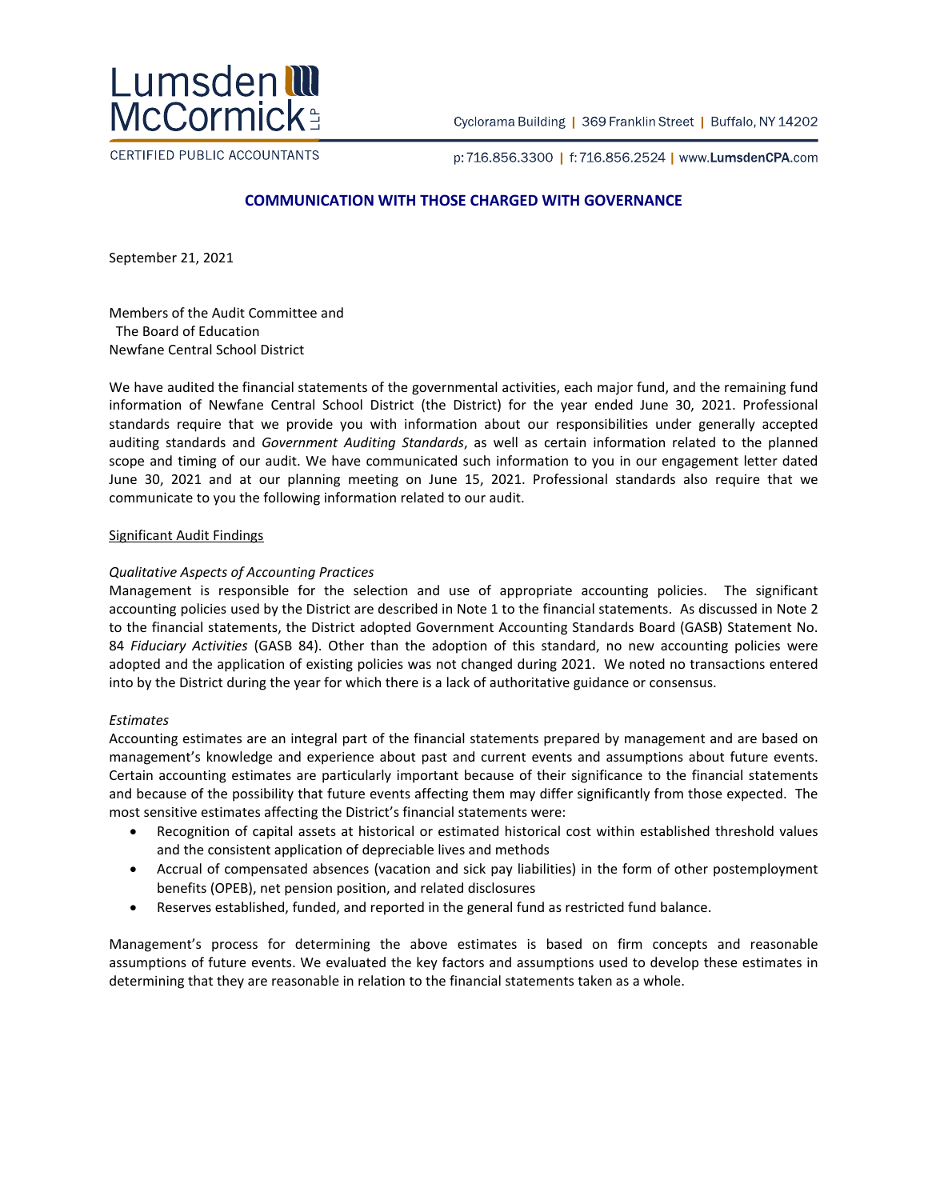

Cyclorama Building | 369 Franklin Street | Buffalo, NY 14202

CERTIFIED PUBLIC ACCOUNTANTS

p:716.856.3300 | f:716.856.2524 | www.LumsdenCPA.com

# **COMMUNICATION WITH THOSE CHARGED WITH GOVERNANCE**

September 21, 2021

Members of the Audit Committee and The Board of Education Newfane Central School District

We have audited the financial statements of the governmental activities, each major fund, and the remaining fund information of Newfane Central School District (the District) for the year ended June 30, 2021. Professional standards require that we provide you with information about our responsibilities under generally accepted auditing standards and *Government Auditing Standards*, as well as certain information related to the planned scope and timing of our audit. We have communicated such information to you in our engagement letter dated June 30, 2021 and at our planning meeting on June 15, 2021. Professional standards also require that we communicate to you the following information related to our audit.

#### Significant Audit Findings

### *Qualitative Aspects of Accounting Practices*

Management is responsible for the selection and use of appropriate accounting policies. The significant accounting policies used by the District are described in Note 1 to the financial statements. As discussed in Note 2 to the financial statements, the District adopted Government Accounting Standards Board (GASB) Statement No. 84 *Fiduciary Activities* (GASB 84). Other than the adoption of this standard, no new accounting policies were adopted and the application of existing policies was not changed during 2021. We noted no transactions entered into by the District during the year for which there is a lack of authoritative guidance or consensus.

### *Estimates*

Accounting estimates are an integral part of the financial statements prepared by management and are based on management's knowledge and experience about past and current events and assumptions about future events. Certain accounting estimates are particularly important because of their significance to the financial statements and because of the possibility that future events affecting them may differ significantly from those expected. The most sensitive estimates affecting the District's financial statements were:

- Recognition of capital assets at historical or estimated historical cost within established threshold values and the consistent application of depreciable lives and methods
- Accrual of compensated absences (vacation and sick pay liabilities) in the form of other postemployment benefits (OPEB), net pension position, and related disclosures
- Reserves established, funded, and reported in the general fund as restricted fund balance.

Management's process for determining the above estimates is based on firm concepts and reasonable assumptions of future events. We evaluated the key factors and assumptions used to develop these estimates in determining that they are reasonable in relation to the financial statements taken as a whole.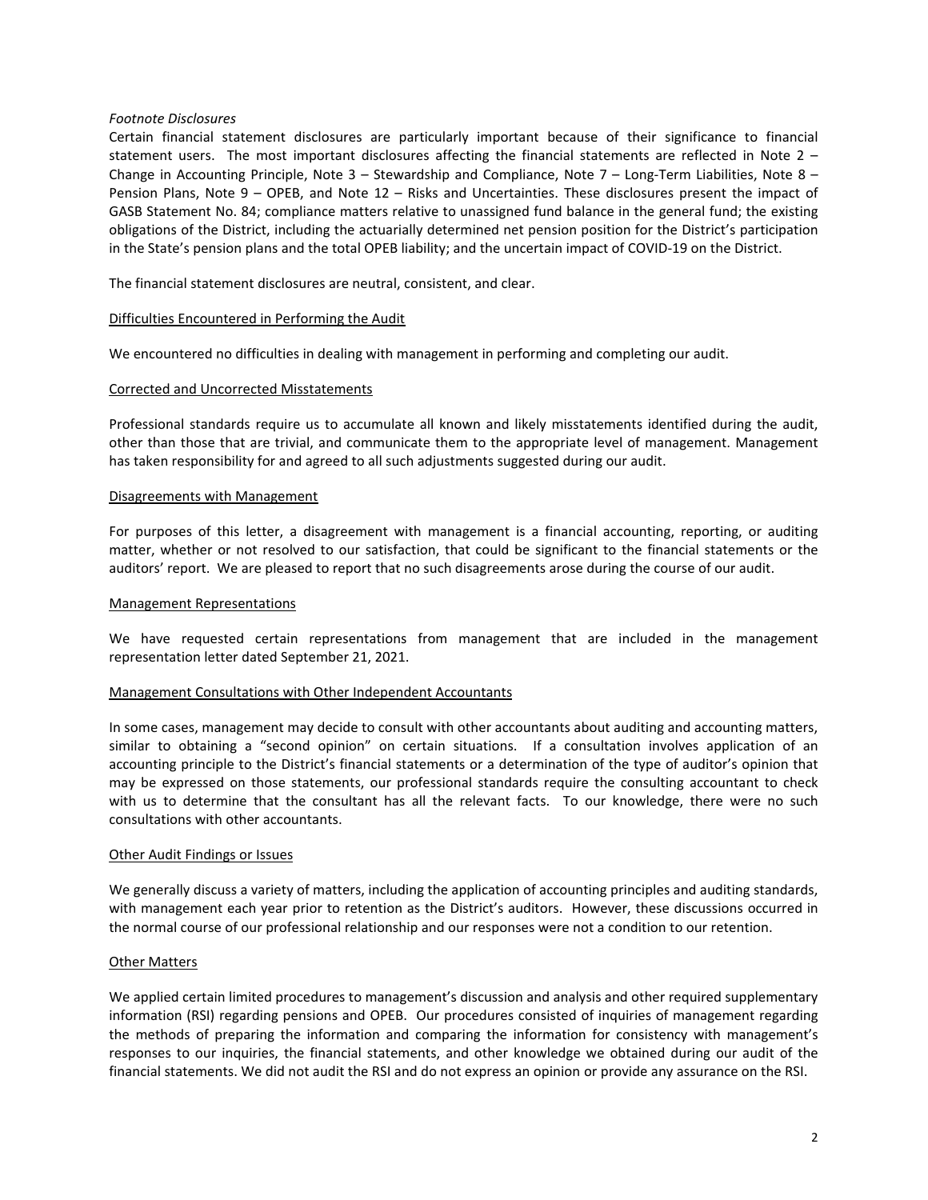# *Footnote Disclosures*

Certain financial statement disclosures are particularly important because of their significance to financial statement users. The most important disclosures affecting the financial statements are reflected in Note 2 – Change in Accounting Principle, Note 3 – Stewardship and Compliance, Note 7 – Long-Term Liabilities, Note 8 – Pension Plans, Note 9 – OPEB, and Note 12 – Risks and Uncertainties. These disclosures present the impact of GASB Statement No. 84; compliance matters relative to unassigned fund balance in the general fund; the existing obligations of the District, including the actuarially determined net pension position for the District's participation in the State's pension plans and the total OPEB liability; and the uncertain impact of COVID-19 on the District.

The financial statement disclosures are neutral, consistent, and clear.

# Difficulties Encountered in Performing the Audit

We encountered no difficulties in dealing with management in performing and completing our audit.

### Corrected and Uncorrected Misstatements

Professional standards require us to accumulate all known and likely misstatements identified during the audit, other than those that are trivial, and communicate them to the appropriate level of management. Management has taken responsibility for and agreed to all such adjustments suggested during our audit.

### Disagreements with Management

For purposes of this letter, a disagreement with management is a financial accounting, reporting, or auditing matter, whether or not resolved to our satisfaction, that could be significant to the financial statements or the auditors' report. We are pleased to report that no such disagreements arose during the course of our audit.

#### Management Representations

We have requested certain representations from management that are included in the management representation letter dated September 21, 2021.

### Management Consultations with Other Independent Accountants

In some cases, management may decide to consult with other accountants about auditing and accounting matters, similar to obtaining a "second opinion" on certain situations. If a consultation involves application of an accounting principle to the District's financial statements or a determination of the type of auditor's opinion that may be expressed on those statements, our professional standards require the consulting accountant to check with us to determine that the consultant has all the relevant facts. To our knowledge, there were no such consultations with other accountants.

#### Other Audit Findings or Issues

We generally discuss a variety of matters, including the application of accounting principles and auditing standards, with management each year prior to retention as the District's auditors. However, these discussions occurred in the normal course of our professional relationship and our responses were not a condition to our retention.

### Other Matters

We applied certain limited procedures to management's discussion and analysis and other required supplementary information (RSI) regarding pensions and OPEB. Our procedures consisted of inquiries of management regarding the methods of preparing the information and comparing the information for consistency with management's responses to our inquiries, the financial statements, and other knowledge we obtained during our audit of the financial statements. We did not audit the RSI and do not express an opinion or provide any assurance on the RSI.